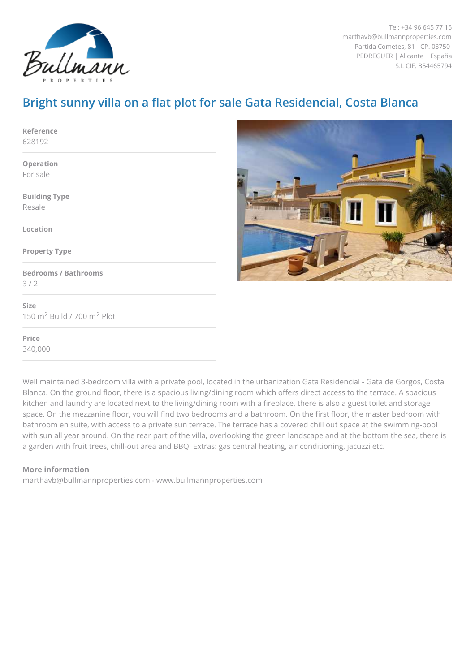

Tel: +34 96 645 77 15 marthavb@bullmannproperties.com Partida Cometes, 81 - CP. 03750 PEDREGUER | Alicante | España S.L CIF: B54465794

## **Bright sunny villa on a flat plot for sale Gata Residencial, Costa Blanca**

| Reference<br>628192                                        |                                                     |
|------------------------------------------------------------|-----------------------------------------------------|
| Operation<br>For sale                                      | $\overline{\phantom{a}}$ , $\overline{\phantom{a}}$ |
| <b>Building Type</b><br>Resale                             |                                                     |
| Location                                                   |                                                     |
| <b>Property Type</b>                                       |                                                     |
| <b>Bedrooms / Bathrooms</b><br>3/2                         |                                                     |
| Size<br>150 m <sup>2</sup> Build / 700 m <sup>2</sup> Plot |                                                     |
| Price<br>340,000                                           |                                                     |

Well maintained 3-bedroom villa with a private pool, located in the urbanization Gata Residencial - Gata de Gorgos, Costa Blanca. On the ground floor, there is a spacious living/dining room which offers direct access to the terrace. A spacious kitchen and laundry are located next to the living/dining room with a fireplace, there is also a guest toilet and storage space. On the mezzanine floor, you will find two bedrooms and a bathroom. On the first floor, the master bedroom with bathroom en suite, with access to a private sun terrace. The terrace has a covered chill out space at the swimming-pool with sun all year around. On the rear part of the villa, overlooking the green landscape and at the bottom the sea, there is a garden with fruit trees, chill-out area and BBQ. Extras: gas central heating, air conditioning, jacuzzi etc.

## **More information**

marthavb@bullmannproperties.com - www.bullmannproperties.com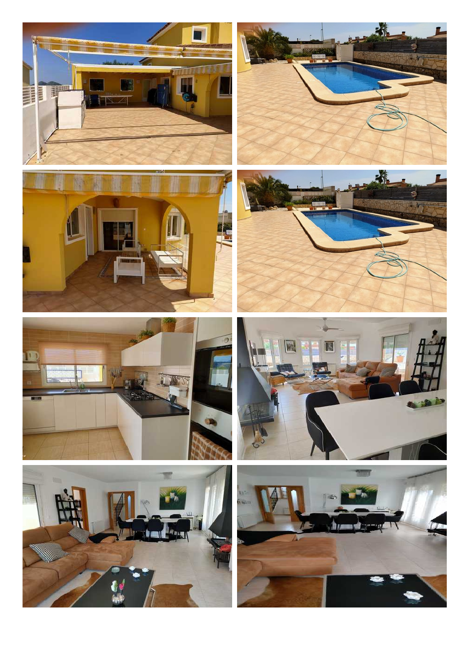













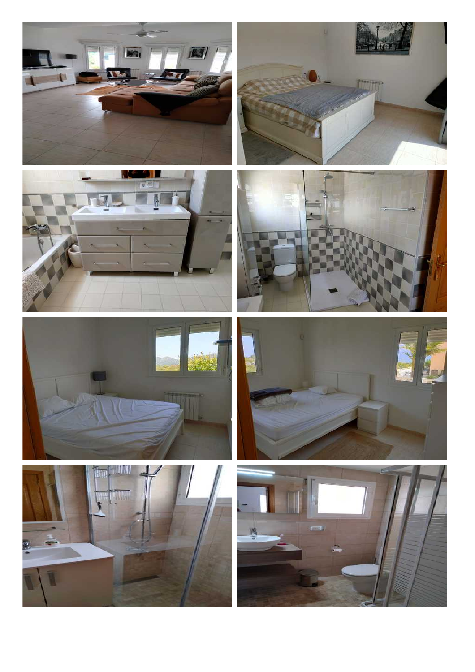